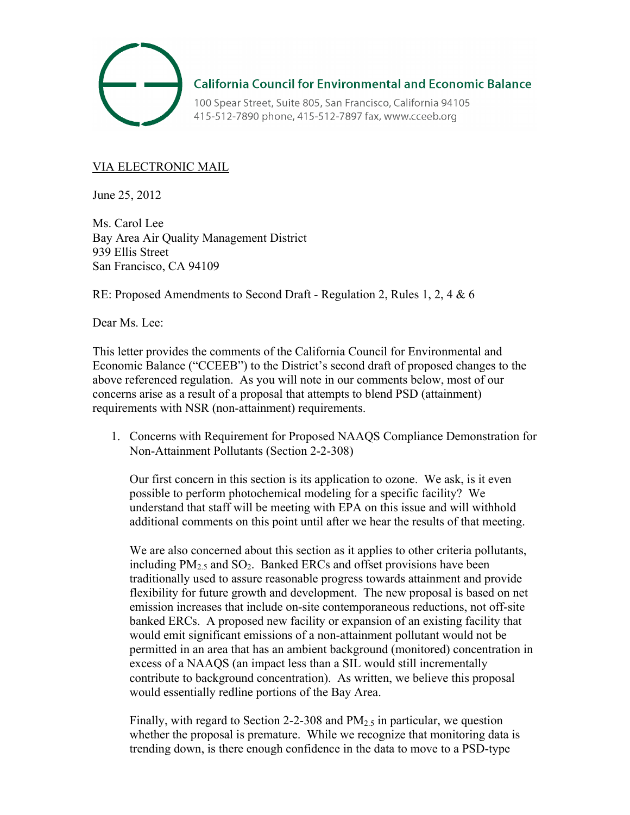

**California Council for Environmental and Economic Balance** 

100 Spear Street, Suite 805, San Francisco, California 94105 415-512-7890 phone, 415-512-7897 fax, www.cceeb.org

## VIA ELECTRONIC MAIL

June 25, 2012

Ms. Carol Lee Bay Area Air Quality Management District 939 Ellis Street San Francisco, CA 94109

RE: Proposed Amendments to Second Draft - Regulation 2, Rules 1, 2, 4 & 6

Dear Ms. Lee:

This letter provides the comments of the California Council for Environmental and Economic Balance ("CCEEB") to the District's second draft of proposed changes to the above referenced regulation. As you will note in our comments below, most of our concerns arise as a result of a proposal that attempts to blend PSD (attainment) requirements with NSR (non-attainment) requirements.

1. Concerns with Requirement for Proposed NAAQS Compliance Demonstration for Non-Attainment Pollutants (Section 2-2-308)

Our first concern in this section is its application to ozone. We ask, is it even possible to perform photochemical modeling for a specific facility? We understand that staff will be meeting with EPA on this issue and will withhold additional comments on this point until after we hear the results of that meeting.

We are also concerned about this section as it applies to other criteria pollutants, including  $PM_{2.5}$  and  $SO_2$ . Banked ERCs and offset provisions have been traditionally used to assure reasonable progress towards attainment and provide flexibility for future growth and development. The new proposal is based on net emission increases that include on-site contemporaneous reductions, not off-site banked ERCs. A proposed new facility or expansion of an existing facility that would emit significant emissions of a non-attainment pollutant would not be permitted in an area that has an ambient background (monitored) concentration in excess of a NAAQS (an impact less than a SIL would still incrementally contribute to background concentration). As written, we believe this proposal would essentially redline portions of the Bay Area.

Finally, with regard to Section 2-2-308 and  $PM<sub>2.5</sub>$  in particular, we question whether the proposal is premature. While we recognize that monitoring data is trending down, is there enough confidence in the data to move to a PSD-type